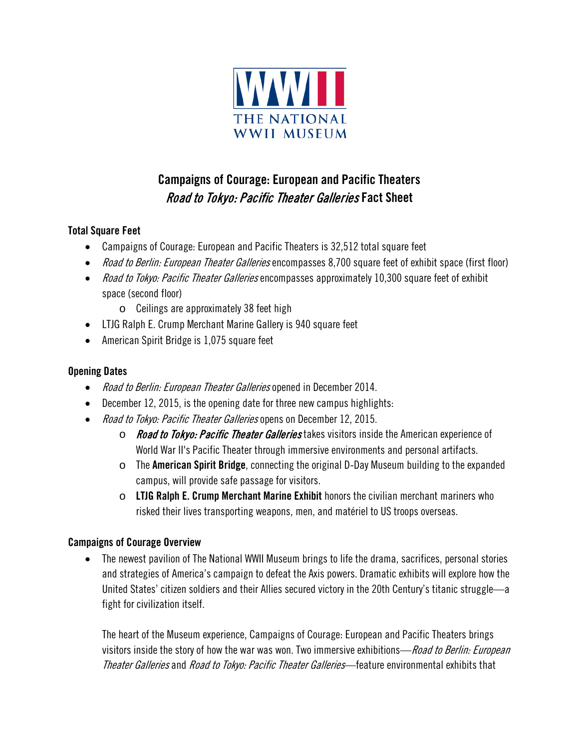

# Campaigns of Courage: European and Pacific Theaters Road to Tokyo: Pacific Theater Galleries Fact Sheet

### Total Square Feet

- Campaigns of Courage: European and Pacific Theaters is 32,512 total square feet
- Road to Berlin: European Theater Galleries encompasses 8,700 square feet of exhibit space (first floor)
- Road to Tokyo: Pacific Theater Galleries encompasses approximately 10,300 square feet of exhibit space (second floor)
	- o Ceilings are approximately 38 feet high
- LTJG Ralph E. Crump Merchant Marine Gallery is 940 square feet
- American Spirit Bridge is 1,075 square feet

#### Opening Dates

- Road to Berlin: European Theater Galleries opened in December 2014.
- December 12, 2015, is the opening date for three new campus highlights:
- Road to Tokyo: Pacific Theater Galleries opens on December 12, 2015.
	- $\circ$  Road to Tokyo: Pacific Theater Galleries takes visitors inside the American experience of World War II's Pacific Theater through immersive environments and personal artifacts.
	- $\circ$  The **American Spirit Bridge**, connecting the original D-Day Museum building to the expanded campus, will provide safe passage for visitors.
	- $\circ$  LTJG Ralph E. Crump Merchant Marine Exhibit honors the civilian merchant mariners who risked their lives transporting weapons, men, and matériel to US troops overseas.

#### Campaigns of Courage Overview

• The newest pavilion of The National WWII Museum brings to life the drama, sacrifices, personal stories and strategies of America's campaign to defeat the Axis powers. Dramatic exhibits will explore how the United States' citizen soldiers and their Allies secured victory in the 20th Century's titanic struggle—a fight for civilization itself.

The heart of the Museum experience, Campaigns of Courage: European and Pacific Theaters brings visitors inside the story of how the war was won. Two immersive exhibitions—Road to Berlin: European Theater Galleries and Road to Tokyo: Pacific Theater Galleries—feature environmental exhibits that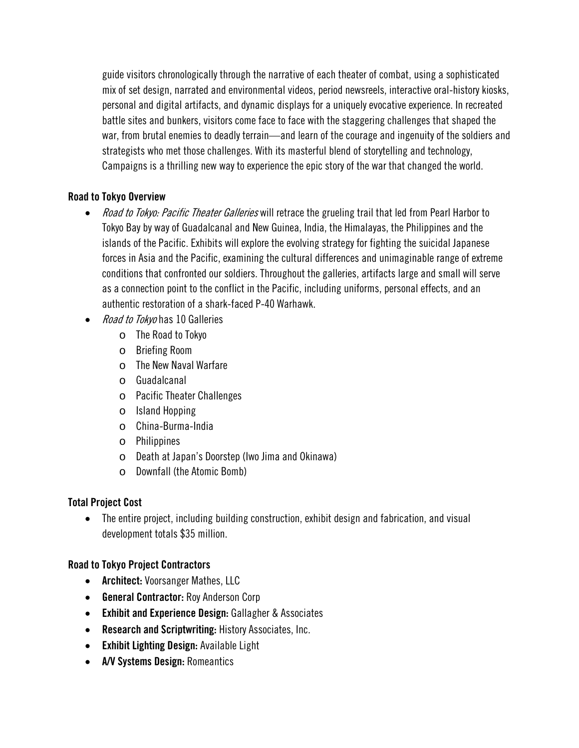guide visitors chronologically through the narrative of each theater of combat, using a sophisticated mix of set design, narrated and environmental videos, period newsreels, interactive oral-history kiosks, personal and digital artifacts, and dynamic displays for a uniquely evocative experience. In recreated battle sites and bunkers, visitors come face to face with the staggering challenges that shaped the war, from brutal enemies to deadly terrain—and learn of the courage and ingenuity of the soldiers and strategists who met those challenges. With its masterful blend of storytelling and technology, Campaigns is a thrilling new way to experience the epic story of the war that changed the world.

#### Road to Tokyo Overview

- Road to Tokyo: Pacific Theater Galleries will retrace the grueling trail that led from Pearl Harbor to Tokyo Bay by way of Guadalcanal and New Guinea, India, the Himalayas, the Philippines and the islands of the Pacific. Exhibits will explore the evolving strategy for fighting the suicidal Japanese forces in Asia and the Pacific, examining the cultural differences and unimaginable range of extreme conditions that confronted our soldiers. Throughout the galleries, artifacts large and small will serve as a connection point to the conflict in the Pacific, including uniforms, personal effects, and an authentic restoration of a shark-faced P-40 Warhawk.
- Road to Tokyo has 10 Galleries
	- o The Road to Tokyo
	- o Briefing Room
	- o The New Naval Warfare
	- o Guadalcanal
	- o Pacific Theater Challenges
	- o Island Hopping
	- o China-Burma-India
	- o Philippines
	- o Death at Japan's Doorstep (Iwo Jima and Okinawa)
	- o Downfall (the Atomic Bomb)

## Total Project Cost

• The entire project, including building construction, exhibit design and fabrication, and visual development totals \$35 million.

## Road to Tokyo Project Contractors

- Architect: Voorsanger Mathes, LLC
- General Contractor: Roy Anderson Corp
- Exhibit and Experience Design: Gallagher & Associates
- Research and Scriptwriting: History Associates, Inc.
- Exhibit Lighting Design: Available Light
- A/V Systems Design: Romeantics